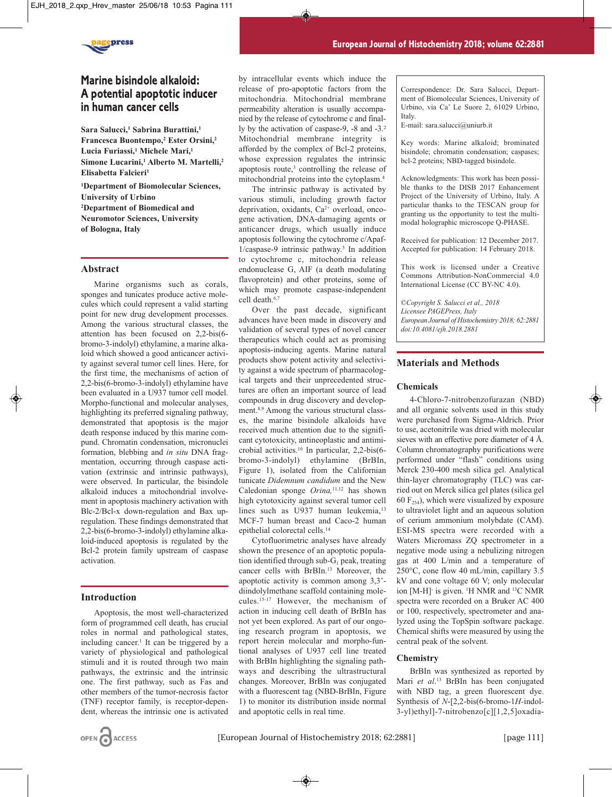

# **Marine bisindole alkaloid: A potential apoptotic inducer in human cancer cells**

**Sara Salucci,1 Sabrina Burattini,1 Francesca Buontempo,2 Ester Orsini,2 Lucia Furiassi,1 Michele Mari,1 Simone Lucarini,1 Alberto M. Martelli,2 Elisabetta Falcieri1**

**1Department of Biomolecular Sciences, University of Urbino 2 Department of Biomedical and Neuromotor Sciences, University of Bologna, Italy**

### **Abstract**

Marine organisms such as corals, sponges and tunicates produce active molecules which could represent a valid starting point for new drug development processes. Among the various structural classes, the attention has been focused on 2,2-bis(6 bromo-3-indolyl) ethylamine, a marine alkaloid which showed a good anticancer activity against several tumor cell lines. Here, for the first time, the mechanisms of action of 2,2-bis(6-bromo-3-indolyl) ethylamine have been evaluated in a U937 tumor cell model. Morpho-functional and molecular analyses, highlighting its preferred signaling pathway, demonstrated that apoptosis is the major death response induced by this marine compund. Chromatin condensation, micronuclei formation, blebbing and *in situ* DNA fragmentation, occurring through caspase activation (extrinsic and intrinsic pathways), were observed. In particular, the bisindole alkaloid induces a mitochondrial involvement in apoptosis machinery activation with Blc-2/Bcl-x down-regulation and Bax upregulation. These findings demonstrated that 2,2-bis(6-bromo-3-indolyl) ethylamine alkaloid-induced apoptosis is regulated by the Bcl-2 protein family upstream of caspase activation.

#### **Introduction**

Apoptosis, the most well-characterized form of programmed cell death, has crucial roles in normal and pathological states, including cancer.<sup>1</sup> It can be triggered by a variety of physiological and pathological stimuli and it is routed through two main pathways, the extrinsic and the intrinsic one. The first pathway, such as Fas and other members of the tumor-necrosis factor (TNF) receptor family, is receptor-dependent, whereas the intrinsic one is activated

by intracellular events which induce the release of pro-apoptotic factors from the mitochondria. Mitochondrial membrane permeability alteration is usually accompanied by the release of cytochrome c and finally by the activation of caspase-9, -8 and -3.2 Mitochondrial membrane integrity is afforded by the complex of Bcl-2 proteins, whose expression regulates the intrinsic apoptosis route,<sup>3</sup> controlling the release of mitochondrial proteins into the cytoplasm.4

The intrinsic pathway is activated by various stimuli, including growth factor deprivation, oxidants, Ca<sup>2+</sup> overload, oncogene activation, DNA-damaging agents or anticancer drugs, which usually induce apoptosis following the cytochrome c/Apaf- $1/c$ aspase-9 intrinsic pathway.<sup>5</sup> In addition to cytochrome c, mitochondria release endonuclease G, AIF (a death modulating flavoprotein) and other proteins, some of which may promote caspase-independent cell death.6,7

Over the past decade, significant advances have been made in discovery and validation of several types of novel cancer therapeutics which could act as promising apoptosis-inducing agents. Marine natural products show potent activity and selectivity against a wide spectrum of pharmacological targets and their unprecedented structures are often an important source of lead compounds in drug discovery and development.8,9 Among the various structural classes, the marine bisindole alkaloids have received much attention due to the significant cytotoxicity, antineoplastic and antimicrobial activities.10 In particular, 2,2-bis(6 bromo-3-indolyl) ethylamine (BrBIn, Figure 1), isolated from the Californian tunicate *Didemnum candidum* and the New Caledonian sponge *Orina,*11,12 has shown high cytotoxicity against several tumor cell lines such as U937 human leukemia,<sup>13</sup> MCF-7 human breast and Caco-2 human epithelial colorectal cells.14

Cytofluorimetric analyses have already shown the presence of an apoptotic population identified through sub- $G_1$  peak, treating cancer cells with BrBIn.13 Moreover, the apoptotic activity is common among 3,3' diindolylmethane scaffold containing molecules.15-17 However, the mechanism of action in inducing cell death of BrBIn has not yet been explored. As part of our ongoing research program in apoptosis, we report herein molecular and morpho-funtional analyses of U937 cell line treated with BrBIn highlighting the signaling pathways and describing the ultrastructural changes. Moreover, BrBIn was conjugated with a fluorescent tag (NBD-BrBIn, Figure 1) to monitor its distribution inside normal and apoptotic cells in real time.

Correspondence: Dr. Sara Salucci, Department of Biomolecular Sciences, University of Urbino, via Ca' Le Suore 2, 61029 Urbino, Italy.

E-mail: sara.salucci@uniurb.it

Key words: Marine alkaloid; brominated bisindole; chromatin condensation; caspases; bcl-2 proteins; NBD-tagged bisindole.

Acknowledgments: This work has been possible thanks to the DISB 2017 Enhancement Project of the University of Urbino, Italy. A particular thanks to the TESCAN group for granting us the opportunity to test the multimodal holographic microscope Q-PHASE.

Received for publication: 12 December 2017. Accepted for publication: 14 February 2018.

This work is licensed under a Creative Commons Attribution-NonCommercial 4.0 International License (CC BY-NC 4.0).

*©Copyright S. Salucci et al., 2018 Licensee PAGEPress, Italy European Journal of Histochemistry 2018; 62:2881 doi:10.4081/ejh.2018.2881*

# **Materials and Methods**

#### **Chemicals**

4-Chloro-7-nitrobenzofurazan (NBD) and all organic solvents used in this study were purchased from Sigma-Aldrich. Prior to use, acetonitrile was dried with molecular sieves with an effective pore diameter of 4 Å. Column chromatography purifications were performed under "flash" conditions using Merck 230-400 mesh silica gel. Analytical thin-layer chromatography (TLC) was carried out on Merck silica gel plates (silica gel 60  $F_{254}$ ), which were visualized by exposure to ultraviolet light and an aqueous solution of cerium ammonium molybdate (CAM). ESI-MS spectra were recorded with a Waters Micromass ZQ spectrometer in a negative mode using a nebulizing nitrogen gas at 400 L/min and a temperature of 250°C, cone flow 40 mL/min, capillary 3.5 kV and cone voltage 60 V; only molecular ion [M-H]- is given. 1 H NMR and 13C NMR spectra were recorded on a Bruker AC 400 or 100, respectively, spectrometer and analyzed using the TopSpin software package. Chemical shifts were measured by using the central peak of the solvent.

#### **Chemistry**

BrBIn was synthesized as reported by Mari *et al*. <sup>13</sup> BrBIn has been conjugated with NBD tag, a green fluorescent dye. Synthesis of *N*-[2,2-bis(6-bromo-1*H-*indol-3-yl)ethyl]-7-nitrobenzo[c][1,2,5]oxadia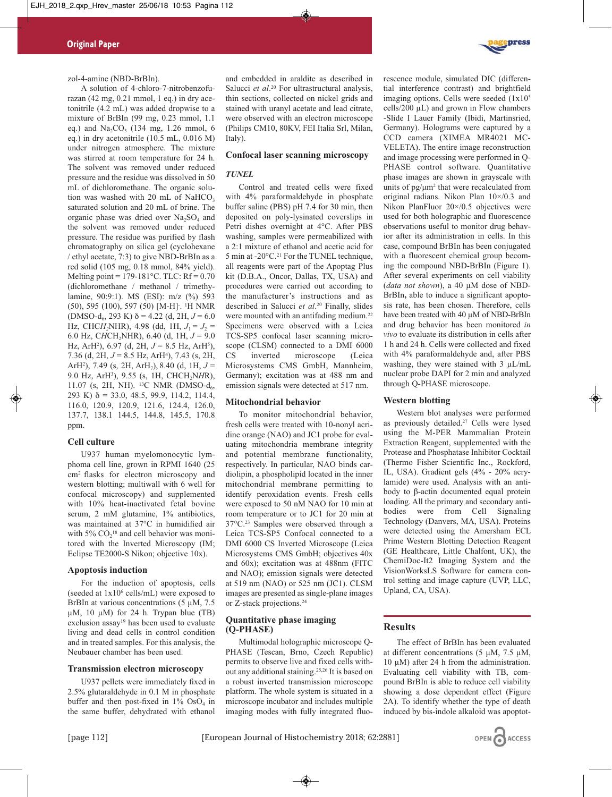zol-4-amine (NBD-BrBIn).

A solution of 4-chloro-7-nitrobenzofurazan (42 mg, 0.21 mmol, 1 eq.) in dry acetonitrile (4.2 mL) was added dropwise to a mixture of BrBIn (99 mg, 0.23 mmol, 1.1 eq.) and  $Na_2CO_3$  (134 mg, 1.26 mmol, 6 eq.) in dry acetonitrile (10.5 mL, 0.016 M) under nitrogen atmosphere. The mixture was stirred at room temperature for 24 h. The solvent was removed under reduced pressure and the residue was dissolved in 50 mL of dichloromethane. The organic solution was washed with 20 mL of NaHCO<sub>3</sub> saturated solution and 20 mL of brine. The organic phase was dried over  $Na<sub>2</sub>SO<sub>4</sub>$  and the solvent was removed under reduced pressure. The residue was purified by flash chromatography on silica gel (cyclohexane / ethyl acetate, 7:3) to give NBD-BrBIn as a red solid (105 mg, 0.18 mmol, 84% yield). Melting point =  $179-181^{\circ}$ C. TLC: Rf = 0.70 (dichloromethane / methanol / trimethylamine, 90:9:1). MS (ESI): m/z (%) 593 (50), 595 (100), 597 (50) [M-H]- . 1 H NMR  $(DMSO-d<sub>6</sub>, 293 K) \delta = 4.22$  (d, 2H,  $J = 6.0$ ) Hz, CHC*H*<sub>2</sub>NHR), 4.98 (dd, 1H,  $J_1 = J_2$  = 6.0 Hz, CHCH<sub>2</sub>NHR), 6.40 (d, 1H,  $J = 9.0$ ) Hz, ArH2 ), 6.97 (d, 2H, *J* = 8.5 Hz, ArH5), 7.36 (d, 2H,  $J = 8.5$  Hz, ArH<sup>4</sup>), 7.43 (s, 2H, ArH<sup>2</sup>), 7.49 (s, 2H, ArH<sub>7</sub>), 8.40 (d, 1H,  $J =$ 9.0 Hz, ArH<sup>3</sup>), 9.55 (s, 1H, CHCH<sub>2</sub>NHR), 11.07 (s, 2H, NH). <sup>13</sup>C NMR (DMSO- $d_6$ , 293 K)  $\delta$  = 33.0, 48.5, 99.9, 114.2, 114.4, 116.0, 120.9, 120.9, 121.6, 124.4, 126.0, 137.7, 138.1 144.5, 144.8, 145.5, 170.8 ppm.

# **Cell culture**

U937 human myelomonocytic lymphoma cell line, grown in RPMI 1640 (25 cm2 flasks for electron microscopy and western blotting; multiwall with 6 well for confocal microscopy) and supplemented with 10% heat-inactivated fetal bovine serum, 2 mM glutamine, 1% antibiotics, was maintained at 37°C in humidified air with  $5\%$  CO<sub>2</sub><sup>18</sup> and cell behavior was monitored with the Inverted Microscopy (IM; Eclipse TE2000-S Nikon; objective 10x).

#### **Apoptosis induction**

For the induction of apoptosis, cells (seeded at  $1x10^6$  cells/mL) were exposed to BrBIn at various concentrations (5 µM, 7.5)  $\mu$ M, 10  $\mu$ M) for 24 h. Trypan blue (TB) exclusion assay<sup>19</sup> has been used to evaluate living and dead cells in control condition and in treated samples. For this analysis, the Neubauer chamber has been used.

#### **Transmission electron microscopy**

U937 pellets were immediately fixed in 2.5% glutaraldehyde in 0.1 M in phosphate buffer and then post-fixed in  $1\%$  OsO<sub>4</sub> in the same buffer, dehydrated with ethanol and embedded in araldite as described in Salucci *et al*. <sup>20</sup> For ultrastructural analysis, thin sections, collected on nickel grids and stained with uranyl acetate and lead citrate, were observed with an electron microscope (Philips CM10, 80KV, FEI Italia Srl, Milan, Italy).

#### **Confocal laser scanning microscopy**

# *TUNEL*

Control and treated cells were fixed with 4% paraformaldehyde in phosphate buffer saline (PBS) pH 7.4 for 30 min, then deposited on poly-lysinated coverslips in Petri dishes overnight at 4°C. After PBS washing, samples were permeabilized with a 2:1 mixture of ethanol and acetic acid for 5 min at -20°C.<sup>21</sup> For the TUNEL technique, all reagents were part of the Apoptag Plus kit (D.B.A., Oncor, Dallas, TX, USA) and procedures were carried out according to the manufacturer's instructions and as described in Salucci *et al*. <sup>20</sup> Finally, slides were mounted with an antifading medium.<sup>22</sup> Specimens were observed with a Leica TCS-SP5 confocal laser scanning microscope (CLSM) connected to a DMI 6000 CS inverted microscope (Leica Microsystems CMS GmbH, Mannheim, Germany); excitation was at 488 nm and emission signals were detected at 517 nm.

#### **Mitochondrial behavior**

To monitor mitochondrial behavior, fresh cells were treated with 10-nonyl acridine orange (NAO) and JC1 probe for evaluating mitochondria membrane integrity and potential membrane functionality, respectively. In particular, NAO binds cardiolipin, a phospholipid located in the inner mitochondrial membrane permitting to identify peroxidation events. Fresh cells were exposed to 50 nM NAO for 10 min at room temperature or to JC1 for 20 min at 37°C.23 Samples were observed through a Leica TCS-SP5 Confocal connected to a DMI 6000 CS Inverted Microscope (Leica Microsystems CMS GmbH; objectives 40x and 60x); excitation was at 488nm (FITC and NAO); emission signals were detected at 519 nm (NAO) or 525 nm (JC1). CLSM images are presented as single-plane images or Z-stack projections.24

# **Quantitative phase imaging (Q-PHASE)**

Multimodal holographic microscope Q-PHASE (Tescan, Brno, Czech Republic) permits to observe live and fixed cells without any additional staining.25,26 It is based on a robust inverted transmission microscope platform. The whole system is situated in a microscope incubator and includes multiple imaging modes with fully integrated fluorescence module, simulated DIC (differential interference contrast) and brightfield imaging options. Cells were seeded  $(1x10<sup>5</sup>)$ cells/200 µL) and grown in Flow chambers -Slide I Lauer Family (Ibidi, Martinsried, Germany). Holograms were captured by a CCD camera (XIMEA MR4021 MC-VELETA). The entire image reconstruction and image processing were performed in Q-PHASE control software. Quantitative phase images are shown in grayscale with units of  $pg/\mu m^2$  that were recalculated from original radians. Nikon Plan 10×/0.3 and Nikon PlanFluor 20×/0.5 objectives were used for both holographic and fluorescence observations useful to monitor drug behavior after its administration in cells. In this case, compound BrBIn has been conjugated with a fluorescent chemical group becoming the compound NBD-BrBIn (Figure 1). After several experiments on cell viability (*data not shown*), a 40 µM dose of NBD-BrBIn**,** able to induce a significant apoptosis rate, has been chosen. Therefore, cells have been treated with 40 µM of NBD-BrBIn and drug behavior has been monitored *in vivo* to evaluate its distribution in cells after 1 h and 24 h. Cells were collected and fixed with 4% paraformaldehyde and, after PBS washing, they were stained with 3 µL/mL nuclear probe DAPI for 2 min and analyzed through Q-PHASE microscope.

#### **Western blotting**

Western blot analyses were performed as previously detailed.27 Cells were lysed using the M-PER Mammalian Protein Extraction Reagent, supplemented with the Protease and Phosphatase Inhibitor Cocktail (Thermo Fisher Scientific Inc., Rockford, IL, USA). Gradient gels (4% - 20% acrylamide) were used. Analysis with an antibody to β-actin documented equal protein loading. All the primary and secondary antibodies were from Cell Signaling Technology (Danvers, MA, USA). Proteins were detected using the Amersham ECL Prime Western Blotting Detection Reagent (GE Healthcare, Little Chalfont, UK), the ChemiDoc-It2 Imaging System and the VisionWorksLS Software for camera control setting and image capture (UVP, LLC, Upland, CA, USA).

# **Results**

The effect of BrBIn has been evaluated at different concentrations (5 µM, 7.5 µM,  $10 \mu M$ ) after 24 h from the administration. Evaluating cell viability with TB, compound BrBIn is able to reduce cell viability showing a dose dependent effect (Figure 2A). To identify whether the type of death induced by bis-indole alkaloid was apoptot-





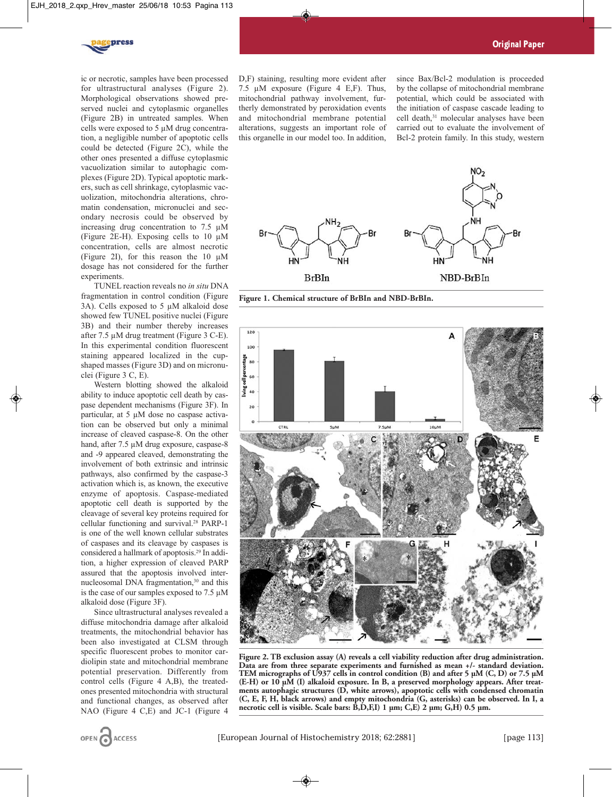

ic or necrotic, samples have been processed for ultrastructural analyses (Figure 2). Morphological observations showed preserved nuclei and cytoplasmic organelles (Figure 2B) in untreated samples. When cells were exposed to 5 µM drug concentration, a negligible number of apoptotic cells could be detected (Figure 2C), while the other ones presented a diffuse cytoplasmic vacuolization similar to autophagic complexes (Figure 2D). Typical apoptotic markers, such as cell shrinkage, cytoplasmic vacuolization, mitochondria alterations, chromatin condensation, micronuclei and secondary necrosis could be observed by increasing drug concentration to 7.5 µM (Figure 2E-H). Exposing cells to 10 µM concentration, cells are almost necrotic (Figure 2I), for this reason the 10  $\mu$ M dosage has not considered for the further experiments.

TUNEL reaction reveals no *in situ* DNA fragmentation in control condition (Figure 3A). Cells exposed to 5 µM alkaloid dose showed few TUNEL positive nuclei (Figure 3B) and their number thereby increases after 7.5 µM drug treatment (Figure 3 C-E). In this experimental condition fluorescent staining appeared localized in the cupshaped masses (Figure 3D) and on micronuclei (Figure 3 C, E).

Western blotting showed the alkaloid ability to induce apoptotic cell death by caspase dependent mechanisms (Figure 3F). In particular, at 5 µM dose no caspase activation can be observed but only a minimal increase of cleaved caspase-8. On the other hand, after 7.5  $\mu$ M drug exposure, caspase-8 and -9 appeared cleaved, demonstrating the involvement of both extrinsic and intrinsic pathways, also confirmed by the caspase-3 activation which is, as known, the executive enzyme of apoptosis. Caspase-mediated apoptotic cell death is supported by the cleavage of several key proteins required for cellular functioning and survival.28 PARP-1 is one of the well known cellular substrates of caspases and its cleavage by caspases is considered a hallmark of apoptosis.29 In addition, a higher expression of cleaved PARP assured that the apoptosis involved internucleosomal DNA fragmentation,<sup>30</sup> and this is the case of our samples exposed to 7.5 µM alkaloid dose (Figure 3F).

Since ultrastructural analyses revealed a diffuse mitochondria damage after alkaloid treatments, the mitochondrial behavior has been also investigated at CLSM through specific fluorescent probes to monitor cardiolipin state and mitochondrial membrane potential preservation. Differently from control cells (Figure 4 A,B), the treatedones presented mitochondria with structural and functional changes, as observed after NAO (Figure 4 C,E) and JC-1 (Figure 4 D,F) staining, resulting more evident after 7.5 µM exposure (Figure 4 E,F). Thus, mitochondrial pathway involvement, furtherly demonstrated by peroxidation events and mitochondrial membrane potential alterations, suggests an important role of this organelle in our model too. In addition, since Bax/Bcl-2 modulation is proceeded by the collapse of mitochondrial membrane potential, which could be associated with the initiation of caspase cascade leading to cell death,<sup>31</sup> molecular analyses have been carried out to evaluate the involvement of Bcl-2 protein family. In this study, western



**Figure 1. Chemical structure of BrBIn and NBD-BrBIn.** 



**Figure 2. TB exclusion assay (A) reveals a cell viability reduction after drug administration. Data are from three separate experiments and furnished as mean +/- standard deviation. TEM micrographs of U937 cells in control condition (B) and after 5 µM (C, D) or 7.5 µM (E-H) or 10 µM (I) alkaloid exposure. In B, a preserved morphology appears. After treatments autophagic structures (D, white arrows), apoptotic cells with condensed chromatin (C, E, F, H, black arrows) and empty mitochondria (G, asterisks) can be observed. In I, a necrotic cell is visible. Scale bars: B,D,F,I) 1 µm; C,E) 2 µm; G,H) 0.5 µm.**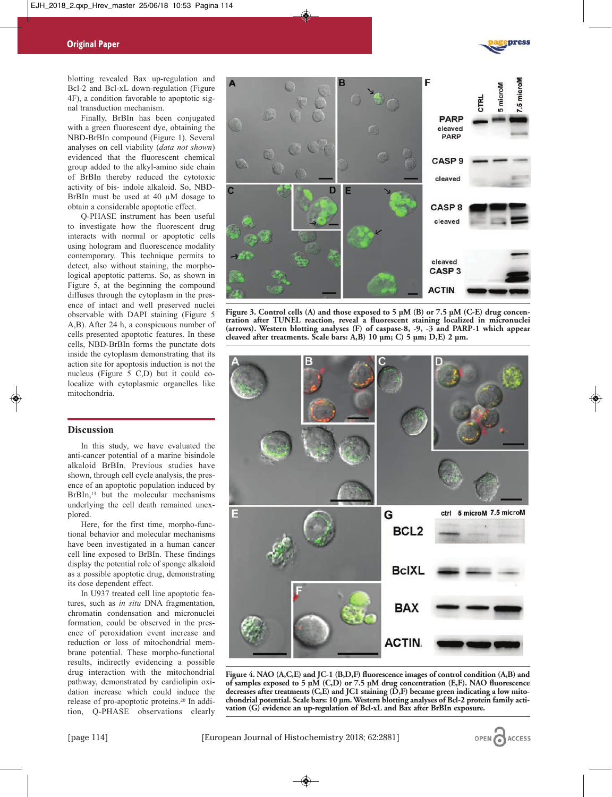

blotting revealed Bax up-regulation and Bcl-2 and Bcl-xL down-regulation (Figure 4F), a condition favorable to apoptotic signal transduction mechanism.

Finally, BrBIn has been conjugated with a green fluorescent dye, obtaining the NBD-BrBIn compound (Figure 1). Several analyses on cell viability (*data not shown*) evidenced that the fluorescent chemical group added to the alkyl-amino side chain of BrBIn thereby reduced the cytotoxic activity of bis- indole alkaloid. So, NBD-BrBIn must be used at 40 µM dosage to obtain a considerable apoptotic effect.

Q-PHASE instrument has been useful to investigate how the fluorescent drug interacts with normal or apoptotic cells using hologram and fluorescence modality contemporary. This technique permits to detect, also without staining, the morphological apoptotic patterns. So, as shown in Figure 5, at the beginning the compound diffuses through the cytoplasm in the presence of intact and well preserved nuclei observable with DAPI staining (Figure 5 A,B). After 24 h, a conspicuous number of cells presented apoptotic features. In these cells, NBD-BrBIn forms the punctate dots inside the cytoplasm demonstrating that its action site for apoptosis induction is not the nucleus (Figure 5 C,D) but it could colocalize with cytoplasmic organelles like mitochondria.

# **Discussion**

In this study, we have evaluated the anti-cancer potential of a marine bisindole alkaloid BrBIn. Previous studies have shown, through cell cycle analysis, the presence of an apoptotic population induced by BrBIn,<sup>13</sup> but the molecular mechanisms underlying the cell death remained unexplored.

Here, for the first time, morpho-functional behavior and molecular mechanisms have been investigated in a human cancer cell line exposed to BrBIn. These findings display the potential role of sponge alkaloid as a possible apoptotic drug, demonstrating its dose dependent effect.

In U937 treated cell line apoptotic features, such as *in situ* DNA fragmentation, chromatin condensation and micronuclei formation, could be observed in the presence of peroxidation event increase and reduction or loss of mitochondrial membrane potential. These morpho-functional results, indirectly evidencing a possible drug interaction with the mitochondrial pathway, demonstrated by cardiolipin oxidation increase which could induce the release of pro-apoptotic proteins.20 In addition, Q-PHASE observations clearly



**Figure 3. Control cells (A) and those exposed to 5 µM (B) or 7.5 µM (C-E) drug concentration after TUNEL reaction, reveal a fluorescent staining localized in micronuclei (arrows). Western blotting analyses (F) of caspase-8, -9, -3 and PARP-1 which appear cleaved after treatments. Scale bars: A,B) 10 µm; C) 5 µm; D,E) 2 µm.** 



**Figure 4. NAO (A,C,E) and JC-1 (B,D,F) fluorescence images of control condition (A,B) and of samples exposed to 5 µM (C,D) or 7.5 µM drug concentration (E,F). NAO fluorescence decreases after treatments (C,E) and JC1 staining (D,F) became green indicating a low mitochondrial potential. Scale bars: 10 µm. Western blotting analyses of Bcl-2 protein family activation (G) evidence an up-regulation of Bcl-xL and Bax after BrBIn exposure.** 

**ACCESS**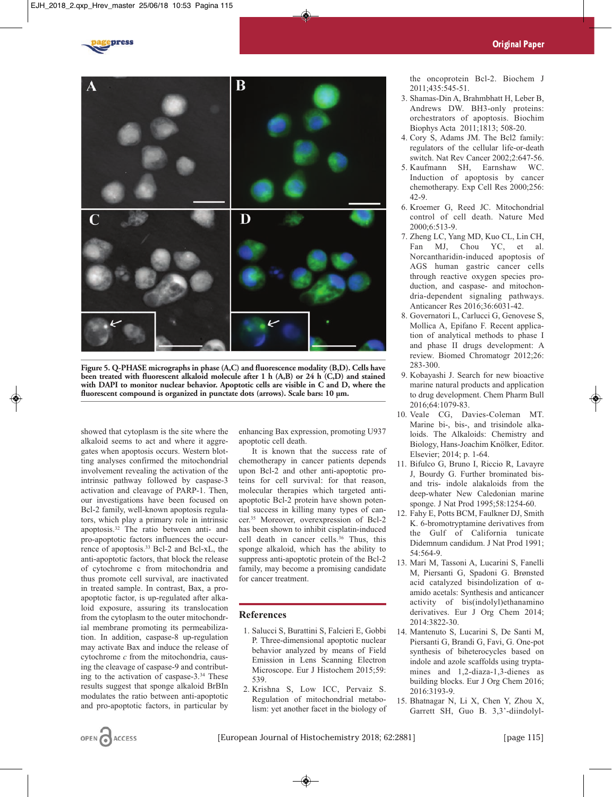



**Figure 5. Q-PHASE micrographs in phase (A,C) and fluorescence modality (B,D). Cells have been treated with fluorescent alkaloid molecule after 1 h (A,B) or 24 h (C,D) and stained with DAPI to monitor nuclear behavior. Apoptotic cells are visible in C and D, where the fluorescent compound is organized in punctate dots (arrows). Scale bars: 10 µm.**

showed that cytoplasm is the site where the alkaloid seems to act and where it aggregates when apoptosis occurs. Western blotting analyses confirmed the mitochondrial involvement revealing the activation of the intrinsic pathway followed by caspase-3 activation and cleavage of PARP-1. Then, our investigations have been focused on Bcl-2 family, well-known apoptosis regulators, which play a primary role in intrinsic apoptosis.32 The ratio between anti- and pro-apoptotic factors influences the occurrence of apoptosis.33 Bcl-2 and Bcl-xL, the anti-apoptotic factors, that block the release of cytochrome c from mitochondria and thus promote cell survival, are inactivated in treated sample. In contrast, Bax, a proapoptotic factor, is up-regulated after alkaloid exposure, assuring its translocation from the cytoplasm to the outer mitochondrial membrane promoting its permeabilization. In addition, caspase-8 up-regulation may activate Bax and induce the release of cytochrome *c* from the mitochondria, causing the cleavage of caspase-9 and contributing to the activation of caspase-3.34 These results suggest that sponge alkaloid BrBIn modulates the ratio between anti-apoptotic and pro-apoptotic factors, in particular by

enhancing Bax expression, promoting U937 apoptotic cell death.

It is known that the success rate of chemotherapy in cancer patients depends upon Bcl-2 and other anti-apoptotic proteins for cell survival: for that reason, molecular therapies which targeted antiapoptotic Bcl-2 protein have shown potential success in killing many types of cancer.35 Moreover, overexpression of Bcl-2 has been shown to inhibit cisplatin-induced cell death in cancer cells.<sup>36</sup> Thus, this sponge alkaloid, which has the ability to suppress anti-apoptotic protein of the Bcl-2 family, may become a promising candidate for cancer treatment.

# **References**

- 1. Salucci S, Burattini S, Falcieri E, Gobbi P. Three-dimensional apoptotic nuclear behavior analyzed by means of Field Emission in Lens Scanning Electron Microscope. Eur J Histochem 2015;59: 539.
- 2. Krishna S, Low ICC, Pervaiz S. Regulation of mitochondrial metabolism: yet another facet in the biology of

the oncoprotein Bcl-2. Biochem J 2011;435:545-51.

- 3. Shamas-Din A, Brahmbhatt H, Leber B, Andrews DW. BH3-only proteins: orchestrators of apoptosis. Biochim Biophys Acta 2011;1813; 508-20.
- 4. Cory S, Adams JM. The Bcl2 family: regulators of the cellular life-or-death switch. Nat Rev Cancer 2002;2:647-56.
- 5. Kaufmann SH, Earnshaw WC. Induction of apoptosis by cancer chemotherapy. Exp Cell Res 2000;256: 42-9.
- 6. Kroemer G, Reed JC. Mitochondrial control of cell death. Nature Med 2000;6:513-9.
- 7. Zheng LC, Yang MD, Kuo CL, Lin CH, Fan MJ, Chou YC, et al. Norcantharidin-induced apoptosis of AGS human gastric cancer cells through reactive oxygen species production, and caspase- and mitochondria-dependent signaling pathways. Anticancer Res 2016;36:6031-42.
- 8. Governatori L, Carlucci G, Genovese S, Mollica A, Epifano F. Recent application of analytical methods to phase I and phase II drugs development: A review. Biomed Chromatogr 2012;26: 283-300.
- 9. Kobayashi J. Search for new bioactive marine natural products and application to drug development. Chem Pharm Bull 2016;64:1079-83.
- 10. Veale CG, Davies-Coleman MT. Marine bi-, bis-, and trisindole alkaloids. The Alkaloids: Chemistry and Biology, Hans-Joachim Knölker, Editor. Elsevier; 2014; p. 1-64.
- 11. Bifulco G, Bruno I, Riccio R, Lavayre J, Bourdy G. Further brominated bisand tris- indole alakaloids from the deep-whater New Caledonian marine sponge. J Nat Prod 1995;58:1254-60.
- 12. Fahy E, Potts BCM, Faulkner DJ, Smith K. 6-bromotryptamine derivatives from the Gulf of California tunicate Didemnum candidum. J Nat Prod 1991; 54:564-9.
- 13. Mari M, Tassoni A, Lucarini S, Fanelli M, Piersanti G, Spadoni G. Brønsted acid catalyzed bisindolization of αamido acetals: Synthesis and anticancer activity of bis(indolyl)ethanamino derivatives. Eur J Org Chem 2014; 2014:3822-30.
- 14. Mantenuto S, Lucarini S, De Santi M, Piersanti G, Brandi G, Favi, G. One-pot synthesis of biheterocycles based on indole and azole scaffolds using tryptamines and 1,2-diaza-1,3-dienes as building blocks. Eur J Org Chem 2016; 2016:3193-9.
- 15. Bhatnagar N, Li X, Chen Y, Zhou X, Garrett SH, Guo B. 3,3'-diindolyl-